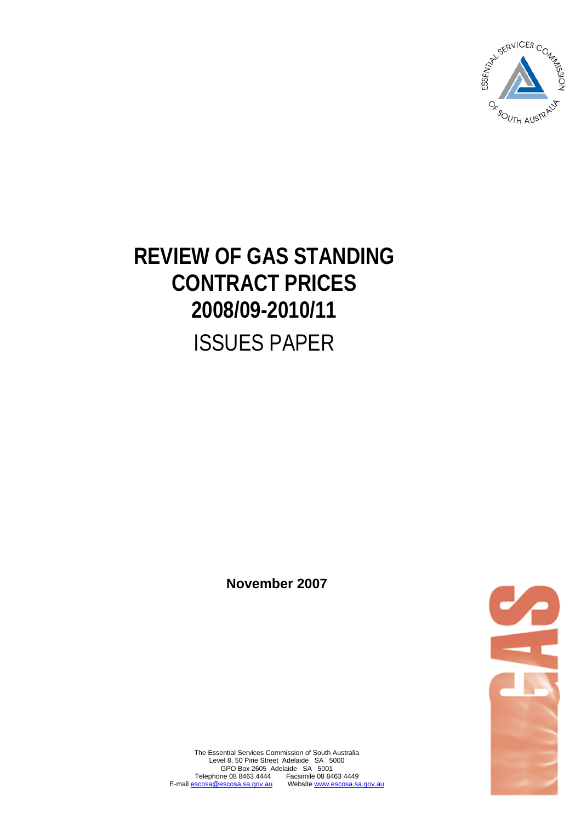

# **REVIEW OF GAS STANDING CONTRACT PRICES 2008/09-2010/11**  ISSUES PAPER

**November 2007** 



The Essential Services Commission of South Australia Level 8, 50 Pirie Street Adelaide SA 5000 GPO Box 2605 Adelaide SA 5001 Telephone 08 8463 4444 Facsimile 08 8463 4449 E-mail escosa@escosa.sa.gov.au Website www.escosa.sa.gov.au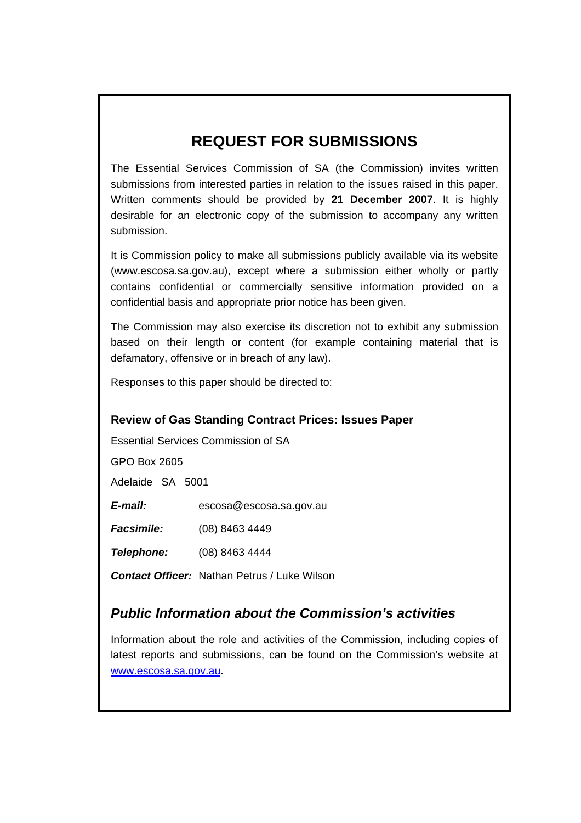# **REQUEST FOR SUBMISSIONS**

The Essential Services Commission of SA (the Commission) invites written submissions from interested parties in relation to the issues raised in this paper. Written comments should be provided by **21 December 2007**. It is highly desirable for an electronic copy of the submission to accompany any written submission.

It is Commission policy to make all submissions publicly available via its website [\(www.escosa.sa.gov.au\)](http://www.escosa.sa.gov.au/), except where a submission either wholly or partly contains confidential or commercially sensitive information provided on a confidential basis and appropriate prior notice has been given.

The Commission may also exercise its discretion not to exhibit any submission based on their length or content (for example containing material that is defamatory, offensive or in breach of any law).

Responses to this paper should be directed to:

#### **Review of Gas Standing Contract Prices: Issues Paper**

Essential Services Commission of SA

GPO Box 2605

Adelaide SA 5001

*E-mail:* [escosa@escosa.sa.gov.au](mailto:escosa@escosa.sa.gov.au)

*Facsimile:* (08) 8463 4449

*Telephone:* (08) 8463 4444

*Contact Officer:* Nathan Petrus / Luke Wilson

### *Public Information about the Commission's activities*

Information about the role and activities of the Commission, including copies of latest reports and submissions, can be found on the Commission's website at [www.escosa.sa.gov.au.](http://www.escosa.sa.gov.au/)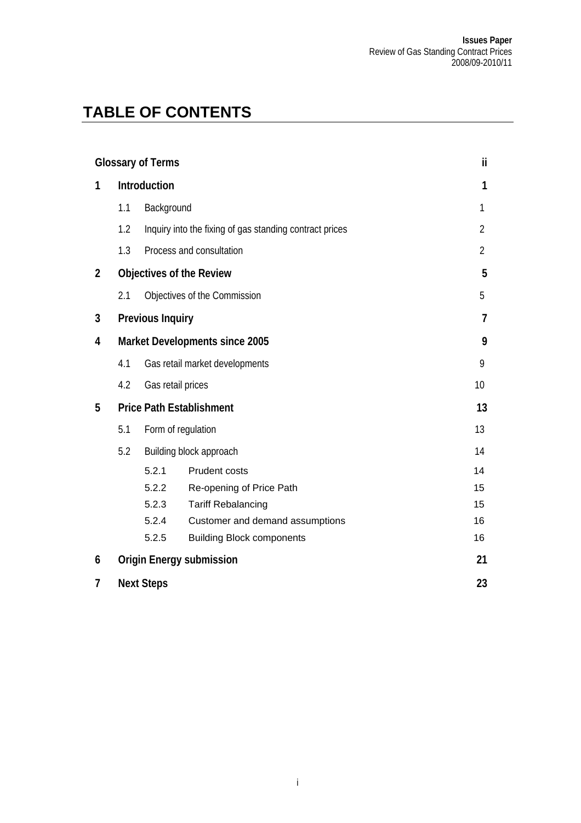# **TABLE OF CONTENTS**

|                |                                 | <b>Glossary of Terms</b>       |                                                         | ii.            |  |
|----------------|---------------------------------|--------------------------------|---------------------------------------------------------|----------------|--|
| 1              | Introduction                    |                                |                                                         |                |  |
|                | 1.1                             | Background                     |                                                         | 1              |  |
|                | 1.2                             |                                | Inquiry into the fixing of gas standing contract prices | 2              |  |
|                | 1.3                             |                                | Process and consultation                                | $\overline{2}$ |  |
| $\overline{2}$ | <b>Objectives of the Review</b> |                                |                                                         |                |  |
|                | 2.1                             |                                | Objectives of the Commission                            | 5              |  |
| 3              |                                 | <b>Previous Inquiry</b>        |                                                         | 7              |  |
| 4              | Market Developments since 2005  |                                |                                                         |                |  |
|                | 4.1                             | Gas retail market developments | 9                                                       |                |  |
|                | 4.2                             | Gas retail prices              |                                                         | 10             |  |
| 5              | <b>Price Path Establishment</b> | 13                             |                                                         |                |  |
|                | 5.1                             | Form of regulation             | 13                                                      |                |  |
|                | 5.2<br>Building block approach  |                                |                                                         | 14             |  |
|                |                                 | 5.2.1                          | <b>Prudent costs</b>                                    | 14             |  |
|                |                                 | 5.2.2                          | Re-opening of Price Path                                | 15             |  |
|                |                                 | 5.2.3                          | <b>Tariff Rebalancing</b>                               | 15             |  |
|                |                                 | 5.2.4                          | Customer and demand assumptions                         | 16             |  |
|                |                                 | 5.2.5                          | <b>Building Block components</b>                        | 16             |  |
| 6              |                                 |                                | <b>Origin Energy submission</b>                         | 21             |  |
| 7              |                                 | <b>Next Steps</b>              |                                                         | 23             |  |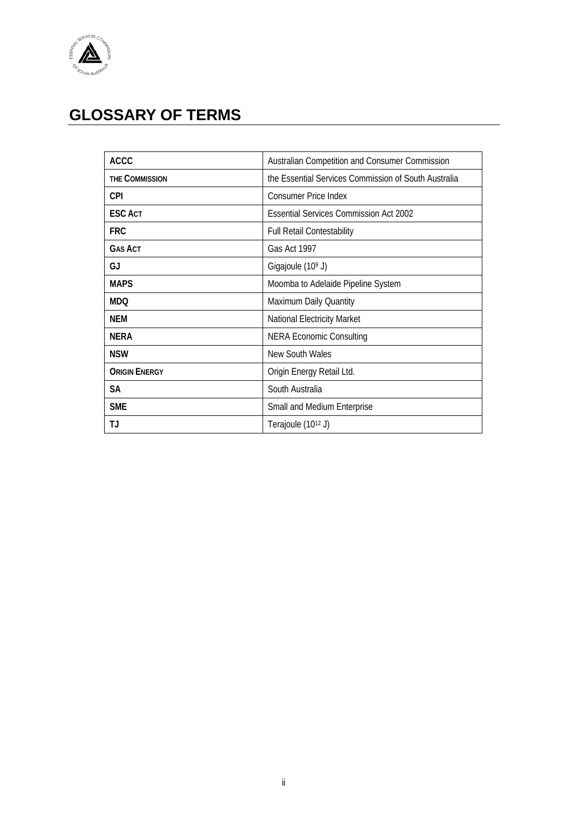<span id="page-3-0"></span>

# **GLOSSARY OF TERMS**

| <b>ACCC</b>          | Australian Competition and Consumer Commission       |
|----------------------|------------------------------------------------------|
| THE COMMISSION       | the Essential Services Commission of South Australia |
| <b>CPI</b>           | <b>Consumer Price Index</b>                          |
| <b>ESCACT</b>        | <b>Essential Services Commission Act 2002</b>        |
| <b>FRC</b>           | <b>Full Retail Contestability</b>                    |
| <b>GAS ACT</b>       | Gas Act 1997                                         |
| GJ                   | Gigajoule (10 <sup>9</sup> J)                        |
| <b>MAPS</b>          | Moomba to Adelaide Pipeline System                   |
| <b>MDQ</b>           | Maximum Daily Quantity                               |
| NEM                  | National Electricity Market                          |
| <b>NERA</b>          | <b>NERA Economic Consulting</b>                      |
| <b>NSW</b>           | New South Wales                                      |
| <b>ORIGIN ENERGY</b> | Origin Energy Retail Ltd.                            |
| <b>SA</b>            | South Australia                                      |
| <b>SME</b>           | Small and Medium Enterprise                          |
| ТJ                   | Terajoule (1012 J)                                   |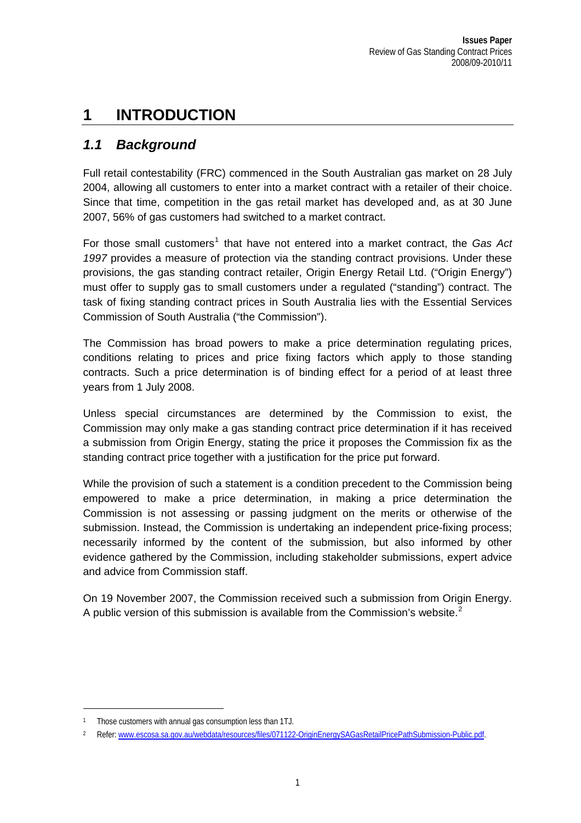# <span id="page-4-0"></span>**1 INTRODUCTION**

### *1.1 Background*

Full retail contestability (FRC) commenced in the South Australian gas market on 28 July 2004, allowing all customers to enter into a market contract with a retailer of their choice. Since that time, competition in the gas retail market has developed and, as at 30 June 2007, 56% of gas customers had switched to a market contract.

For those small customers<sup>[1](#page-4-1)</sup> that have not entered into a market contract, the *Gas Act 1997* provides a measure of protection via the standing contract provisions. Under these provisions, the gas standing contract retailer, Origin Energy Retail Ltd. ("Origin Energy") must offer to supply gas to small customers under a regulated ("standing") contract. The task of fixing standing contract prices in South Australia lies with the Essential Services Commission of South Australia ("the Commission").

The Commission has broad powers to make a price determination regulating prices, conditions relating to prices and price fixing factors which apply to those standing contracts. Such a price determination is of binding effect for a period of at least three years from 1 July 2008.

Unless special circumstances are determined by the Commission to exist, the Commission may only make a gas standing contract price determination if it has received a submission from Origin Energy, stating the price it proposes the Commission fix as the standing contract price together with a justification for the price put forward.

While the provision of such a statement is a condition precedent to the Commission being empowered to make a price determination, in making a price determination the Commission is not assessing or passing judgment on the merits or otherwise of the submission. Instead, the Commission is undertaking an independent price-fixing process; necessarily informed by the content of the submission, but also informed by other evidence gathered by the Commission, including stakeholder submissions, expert advice and advice from Commission staff.

On 19 November 2007, the Commission received such a submission from Origin Energy. A public version of this submission is available from the Commission's website. $2$ 

<span id="page-4-1"></span><sup>1</sup> Those customers with annual gas consumption less than 1TJ.

<span id="page-4-2"></span><sup>2</sup> Refer: [www.escosa.sa.gov.au/webdata/resources/files/071122-OriginEnergySAGasRetailPricePathSubmission-Public.pdf.](http://www.escosa.sa.gov.au/webdata/resources/files/071122-OriginEnergySAGasRetailPricePathSubmission-Public.pdf)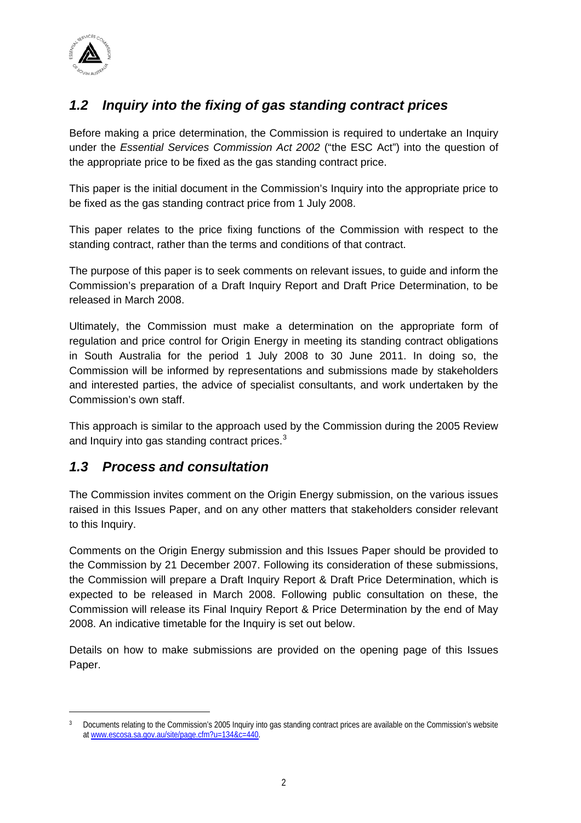<span id="page-5-0"></span>

## *1.2 Inquiry into the fixing of gas standing contract prices*

Before making a price determination, the Commission is required to undertake an Inquiry under the *Essential Services Commission Act 2002* ("the ESC Act") into the question of the appropriate price to be fixed as the gas standing contract price.

This paper is the initial document in the Commission's Inquiry into the appropriate price to be fixed as the gas standing contract price from 1 July 2008.

This paper relates to the price fixing functions of the Commission with respect to the standing contract, rather than the terms and conditions of that contract.

The purpose of this paper is to seek comments on relevant issues, to guide and inform the Commission's preparation of a Draft Inquiry Report and Draft Price Determination, to be released in March 2008.

Ultimately, the Commission must make a determination on the appropriate form of regulation and price control for Origin Energy in meeting its standing contract obligations in South Australia for the period 1 July 2008 to 30 June 2011. In doing so, the Commission will be informed by representations and submissions made by stakeholders and interested parties, the advice of specialist consultants, and work undertaken by the Commission's own staff.

This approach is similar to the approach used by the Commission during the 2005 Review and Inquiry into gas standing contract prices.<sup>[3](#page-5-1)</sup>

### *1.3 Process and consultation*

The Commission invites comment on the Origin Energy submission, on the various issues raised in this Issues Paper, and on any other matters that stakeholders consider relevant to this Inquiry.

Comments on the Origin Energy submission and this Issues Paper should be provided to the Commission by 21 December 2007. Following its consideration of these submissions, the Commission will prepare a Draft Inquiry Report & Draft Price Determination, which is expected to be released in March 2008. Following public consultation on these, the Commission will release its Final Inquiry Report & Price Determination by the end of May 2008. An indicative timetable for the Inquiry is set out below.

Details on how to make submissions are provided on the opening page of this Issues Paper.

<span id="page-5-1"></span><sup>3</sup> Documents relating to the Commission's 2005 Inquiry into gas standing contract prices are available on the Commission's website at [www.escosa.sa.gov.au/site/page.cfm?u=134&c=440.](http://www.escosa.sa.gov.au/site/page.cfm?u=134&c=440)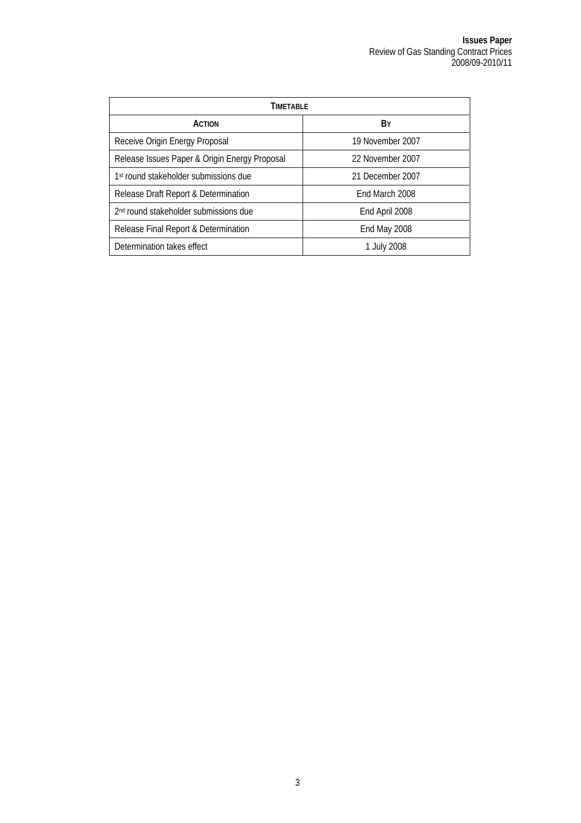| TIMFTABI F                                        |                  |  |  |  |
|---------------------------------------------------|------------------|--|--|--|
| <b>ACTION</b>                                     | B۷               |  |  |  |
| Receive Origin Energy Proposal                    | 19 November 2007 |  |  |  |
| Release Issues Paper & Origin Energy Proposal     | 22 November 2007 |  |  |  |
| 1 <sup>st</sup> round stakeholder submissions due | 21 December 2007 |  |  |  |
| Release Draft Report & Determination              | End March 2008   |  |  |  |
| 2 <sup>nd</sup> round stakeholder submissions due | End April 2008   |  |  |  |
| Release Final Report & Determination              | End May 2008     |  |  |  |
| Determination takes effect                        | 1 July 2008      |  |  |  |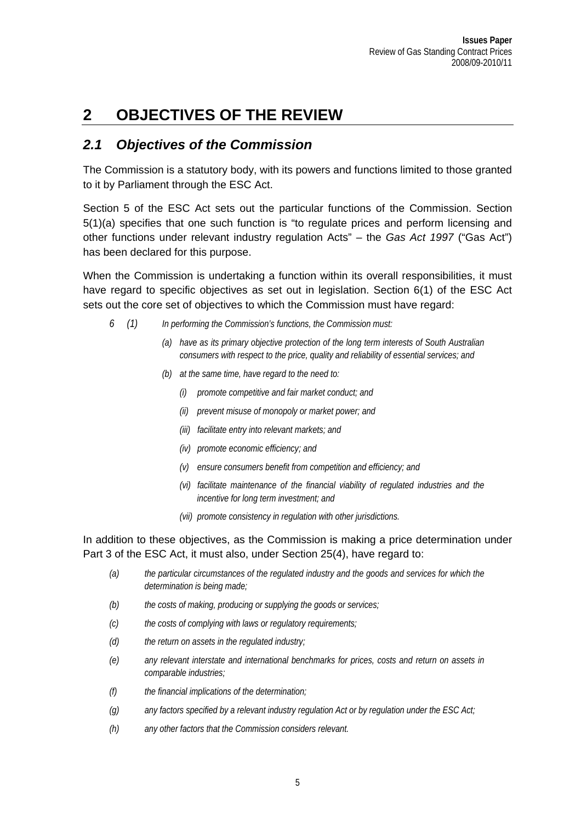# <span id="page-8-0"></span>**2 OBJECTIVES OF THE REVIEW**

### *2.1 Objectives of the Commission*

The Commission is a statutory body, with its powers and functions limited to those granted to it by Parliament through the ESC Act.

Section 5 of the ESC Act sets out the particular functions of the Commission. Section 5(1)(a) specifies that one such function is "to regulate prices and perform licensing and other functions under relevant industry regulation Acts" – the *Gas Act 1997* ("Gas Act") has been declared for this purpose.

When the Commission is undertaking a function within its overall responsibilities, it must have regard to specific objectives as set out in legislation. Section 6(1) of the ESC Act sets out the core set of objectives to which the Commission must have regard:

- *6 (1) In performing the Commission's functions, the Commission must:* 
	- *(a) have as its primary objective protection of the long term interests of South Australian consumers with respect to the price, quality and reliability of essential services; and*
	- *(b) at the same time, have regard to the need to:* 
		- *(i) promote competitive and fair market conduct; and*
		- *(ii) prevent misuse of monopoly or market power; and*
		- *(iii) facilitate entry into relevant markets; and*
		- *(iv) promote economic efficiency; and*
		- *(v) ensure consumers benefit from competition and efficiency; and*
		- *(vi) facilitate maintenance of the financial viability of regulated industries and the incentive for long term investment; and*
		- *(vii) promote consistency in regulation with other jurisdictions.*

In addition to these objectives, as the Commission is making a price determination under Part 3 of the ESC Act, it must also, under Section 25(4), have regard to:

- *(a) the particular circumstances of the regulated industry and the goods and services for which the determination is being made;*
- *(b) the costs of making, producing or supplying the goods or services;*
- *(c) the costs of complying with laws or regulatory requirements;*
- *(d) the return on assets in the regulated industry;*
- *(e) any relevant interstate and international benchmarks for prices, costs and return on assets in comparable industries;*
- *(f) the financial implications of the determination;*
- *(g) any factors specified by a relevant industry regulation Act or by regulation under the ESC Act;*
- *(h) any other factors that the Commission considers relevant.*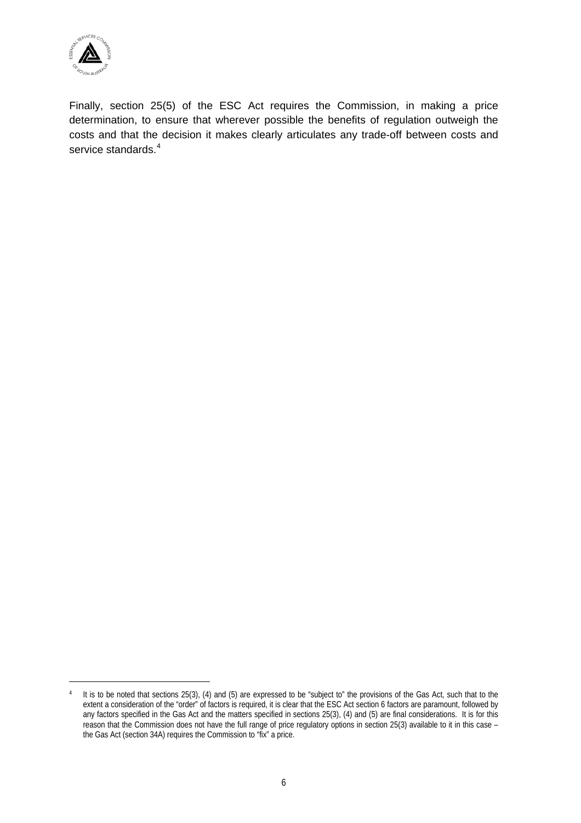

 $\overline{a}$ 

Finally, section 25(5) of the ESC Act requires the Commission, in making a price determination, to ensure that wherever possible the benefits of regulation outweigh the costs and that the decision it makes clearly articulates any trade-off between costs and service standards.<sup>[4](#page-9-0)</sup>

<span id="page-9-0"></span><sup>4</sup> It is to be noted that sections 25(3), (4) and (5) are expressed to be "subject to" the provisions of the Gas Act, such that to the extent a consideration of the "order" of factors is required, it is clear that the ESC Act section 6 factors are paramount, followed by any factors specified in the Gas Act and the matters specified in sections 25(3), (4) and (5) are final considerations. It is for this reason that the Commission does not have the full range of price regulatory options in section 25(3) available to it in this case – the Gas Act (section 34A) requires the Commission to "fix" a price.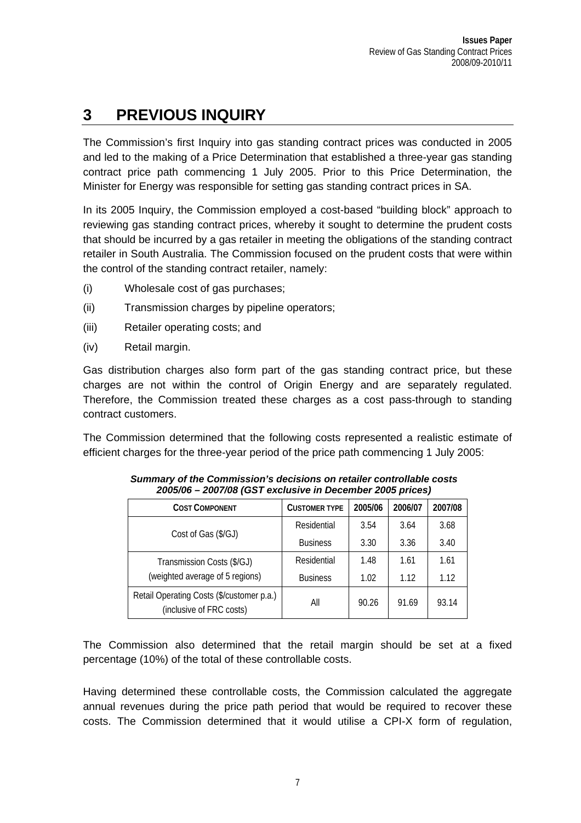# <span id="page-10-0"></span>**3 PREVIOUS INQUIRY**

The Commission's first Inquiry into gas standing contract prices was conducted in 2005 and led to the making of a Price Determination that established a three-year gas standing contract price path commencing 1 July 2005. Prior to this Price Determination, the Minister for Energy was responsible for setting gas standing contract prices in SA.

In its 2005 Inquiry, the Commission employed a cost-based "building block" approach to reviewing gas standing contract prices, whereby it sought to determine the prudent costs that should be incurred by a gas retailer in meeting the obligations of the standing contract retailer in South Australia. The Commission focused on the prudent costs that were within the control of the standing contract retailer, namely:

- (i) Wholesale cost of gas purchases;
- (ii) Transmission charges by pipeline operators;
- (iii) Retailer operating costs; and
- (iv) Retail margin.

Gas distribution charges also form part of the gas standing contract price, but these charges are not within the control of Origin Energy and are separately regulated. Therefore, the Commission treated these charges as a cost pass-through to standing contract customers.

The Commission determined that the following costs represented a realistic estimate of efficient charges for the three-year period of the price path commencing 1 July 2005:

| <b>COST COMPONENT</b>                                                 | <b>CUSTOMER TYPE</b> | 2005/06 | 2006/07 | 2007/08 |
|-----------------------------------------------------------------------|----------------------|---------|---------|---------|
| Cost of Gas (\$/GJ)                                                   | Residential          | 3.54    | 3.64    | 3.68    |
|                                                                       | <b>Business</b>      | 3.30    | 3.36    | 3.40    |
| Transmission Costs (\$/GJ)                                            | Residential          | 1.48    | 1.61    | 1.61    |
| (weighted average of 5 regions)                                       | <b>Business</b>      | 1.02    | 1.12    | 1.12    |
| Retail Operating Costs (\$/customer p.a.)<br>(inclusive of FRC costs) | All                  | 90.26   | 91.69   | 93.14   |

*Summary of the Commission's decisions on retailer controllable costs 2005/06 – 2007/08 (GST exclusive in December 2005 prices)* 

The Commission also determined that the retail margin should be set at a fixed percentage (10%) of the total of these controllable costs.

Having determined these controllable costs, the Commission calculated the aggregate annual revenues during the price path period that would be required to recover these costs. The Commission determined that it would utilise a CPI-X form of regulation,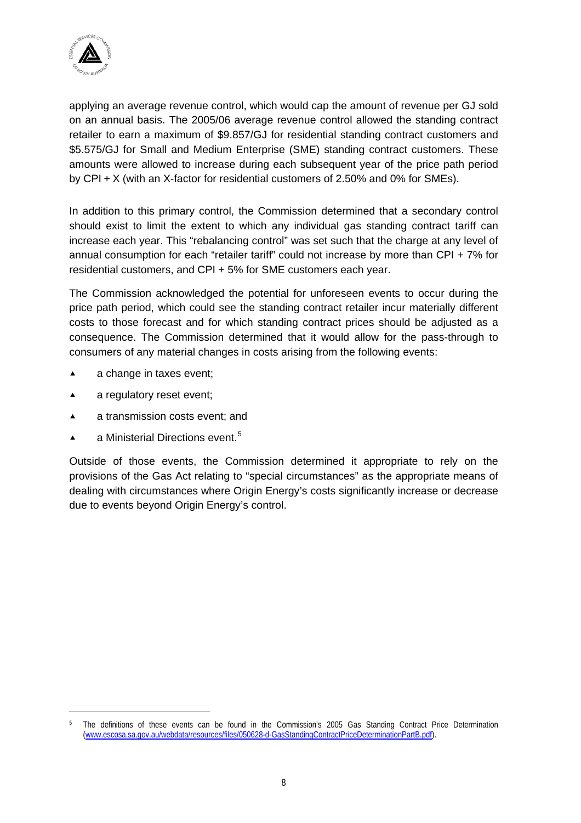

applying an average revenue control, which would cap the amount of revenue per GJ sold on an annual basis. The 2005/06 average revenue control allowed the standing contract retailer to earn a maximum of \$9.857/GJ for residential standing contract customers and \$5.575/GJ for Small and Medium Enterprise (SME) standing contract customers. These amounts were allowed to increase during each subsequent year of the price path period by CPI + X (with an X-factor for residential customers of 2.50% and 0% for SMEs).

In addition to this primary control, the Commission determined that a secondary control should exist to limit the extent to which any individual gas standing contract tariff can increase each year. This "rebalancing control" was set such that the charge at any level of annual consumption for each "retailer tariff" could not increase by more than CPI + 7% for residential customers, and CPI + 5% for SME customers each year.

The Commission acknowledged the potential for unforeseen events to occur during the price path period, which could see the standing contract retailer incur materially different costs to those forecast and for which standing contract prices should be adjusted as a consequence. The Commission determined that it would allow for the pass-through to consumers of any material changes in costs arising from the following events:

- $\triangle$  a change in taxes event;
- $\triangle$  a regulatory reset event;

- ▲ a transmission costs event; and
- $\blacktriangle$  a Ministerial Directions event.<sup>[5](#page-11-0)</sup>

Outside of those events, the Commission determined it appropriate to rely on the provisions of the Gas Act relating to "special circumstances" as the appropriate means of dealing with circumstances where Origin Energy's costs significantly increase or decrease due to events beyond Origin Energy's control.

<span id="page-11-0"></span><sup>5</sup> The definitions of these events can be found in the Commission's 2005 Gas Standing Contract Price Determination ([www.escosa.sa.gov.au/webdata/resources/files/050628-d-GasStandingContractPriceDeterminationPartB.pdf](http://www.escosa.sa.gov.au/webdata/resources/files/050628-d-GasStandingContractPriceDeterminationPartB.pdf)).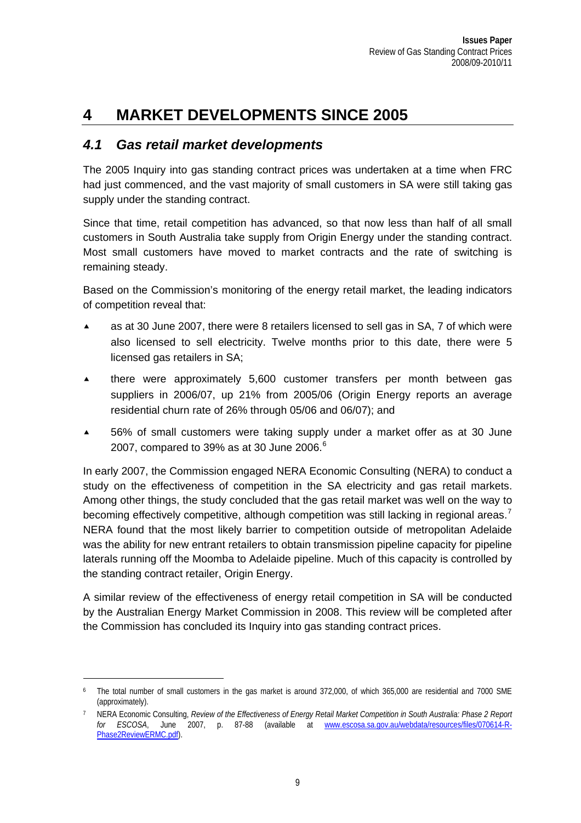# <span id="page-12-0"></span>**4 MARKET DEVELOPMENTS SINCE 2005**

### *4.1 Gas retail market developments*

The 2005 Inquiry into gas standing contract prices was undertaken at a time when FRC had just commenced, and the vast majority of small customers in SA were still taking gas supply under the standing contract.

Since that time, retail competition has advanced, so that now less than half of all small customers in South Australia take supply from Origin Energy under the standing contract. Most small customers have moved to market contracts and the rate of switching is remaining steady.

Based on the Commission's monitoring of the energy retail market, the leading indicators of competition reveal that:

- as at 30 June 2007, there were 8 retailers licensed to sell gas in SA, 7 of which were also licensed to sell electricity. Twelve months prior to this date, there were 5 licensed gas retailers in SA;
- $\triangle$  there were approximately 5,600 customer transfers per month between gas suppliers in 2006/07, up 21% from 2005/06 (Origin Energy reports an average residential churn rate of 26% through 05/06 and 06/07); and
- ▲ 56% of small customers were taking supply under a market offer as at 30 June 2007, compared to 39% as at 30 June 200[6](#page-12-1). $6$

In early 2007, the Commission engaged NERA Economic Consulting (NERA) to conduct a study on the effectiveness of competition in the SA electricity and gas retail markets. Among other things, the study concluded that the gas retail market was well on the way to becoming effectively competitive, although competition was still lacking in regional areas.<sup>[7](#page-12-2)</sup> NERA found that the most likely barrier to competition outside of metropolitan Adelaide was the ability for new entrant retailers to obtain transmission pipeline capacity for pipeline laterals running off the Moomba to Adelaide pipeline. Much of this capacity is controlled by the standing contract retailer, Origin Energy.

A similar review of the effectiveness of energy retail competition in SA will be conducted by the Australian Energy Market Commission in 2008. This review will be completed after the Commission has concluded its Inquiry into gas standing contract prices.

 $\overline{a}$ 

<span id="page-12-1"></span>The total number of small customers in the gas market is around 372,000, of which 365,000 are residential and 7000 SME (approximately).

<span id="page-12-2"></span><sup>7</sup> NERA Economic Consulting, *Review of the Effectiveness of Energy Retail Market Competition in South Australia: Phase 2 Report for ESCOSA*, June 2007, p. 87-88 (available at [www.escosa.sa.gov.au/webdata/resources/files/070614-R-](http://www.escosa.sa.gov.au/webdata/resources/files/070614-R-Phase2ReviewERMC.pdf)[Phase2ReviewERMC.pdf](http://www.escosa.sa.gov.au/webdata/resources/files/070614-R-Phase2ReviewERMC.pdf)).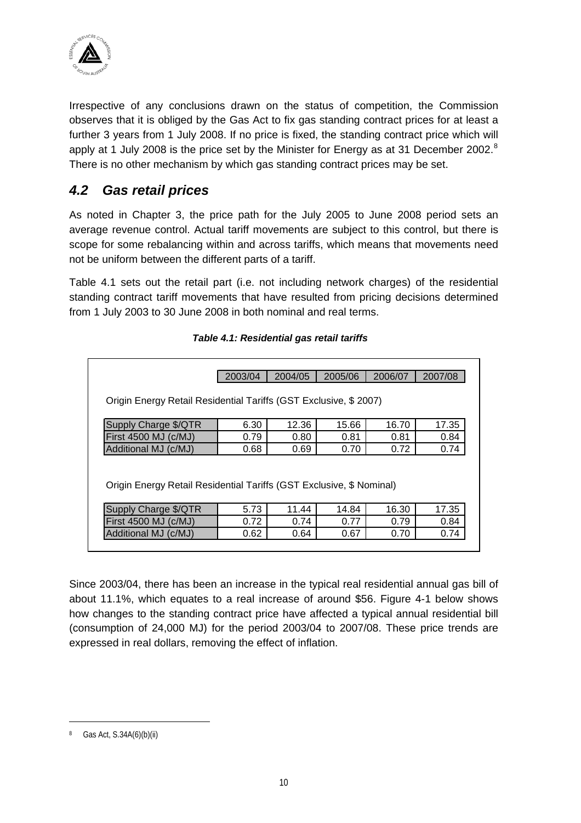<span id="page-13-0"></span>

Irrespective of any conclusions drawn on the status of competition, the Commission observes that it is obliged by the Gas Act to fix gas standing contract prices for at least a further 3 years from 1 July 2008. If no price is fixed, the standing contract price which will apply at 1 July 200[8](#page-13-1) is the price set by the Minister for Energy as at 31 December 2002.<sup>8</sup> There is no other mechanism by which gas standing contract prices may be set.

### *4.2 Gas retail prices*

As noted in Chapter 3, the price path for the July 2005 to June 2008 period sets an average revenue control. Actual tariff movements are subject to this control, but there is scope for some rebalancing within and across tariffs, which means that movements need not be uniform between the different parts of a tariff.

<span id="page-13-2"></span>[Table 4.1](#page-13-2) sets out the retail part (i.e. not including network charges) of the residential standing contract tariff movements that have resulted from pricing decisions determined from 1 July 2003 to 30 June 2008 in both nominal and real terms.

|                                                                                                                                          | 2003/04 | 2004/05 | 2005/06 | 2006/07 | 2007/08 |  |
|------------------------------------------------------------------------------------------------------------------------------------------|---------|---------|---------|---------|---------|--|
|                                                                                                                                          |         |         |         |         |         |  |
| Origin Energy Retail Residential Tariffs (GST Exclusive, \$2007)                                                                         |         |         |         |         |         |  |
| Supply Charge \$/QTR                                                                                                                     | 6.30    | 12.36   | 15.66   | 16.70   | 17.35   |  |
| First 4500 MJ (c/MJ)                                                                                                                     | 0.79    | 0.80    | 0.81    | 0.81    | 0.84    |  |
| Additional MJ (c/MJ)                                                                                                                     | 0.68    | 0.69    | 0.70    | 0.72    | 0.74    |  |
| Origin Energy Retail Residential Tariffs (GST Exclusive, \$ Nominal)<br>17.35<br>Supply Charge \$/QTR<br>5.73<br>14.84<br>11.44<br>16.30 |         |         |         |         |         |  |
| First 4500 MJ (c/MJ)                                                                                                                     | 0.72    | 0.74    | 0.77    | 0.79    | 0.84    |  |
|                                                                                                                                          | 0.62    | 0.64    | 0.67    | 0.70    |         |  |

*Table 4.1: Residential gas retail tariffs* 

Since 2003/04, there has been an increase in the typical real residential annual gas bill of about 11.1%, which equates to a real increase of around \$56. [Figure 4-1](#page-14-0) below shows how changes to the standing contract price have affected a typical annual residential bill (consumption of 24,000 MJ) for the period 2003/04 to 2007/08. These price trends are expressed in real dollars, removing the effect of inflation.

 $\overline{a}$ 

<span id="page-13-1"></span>Gas Act, S.34A(6)(b)(ii)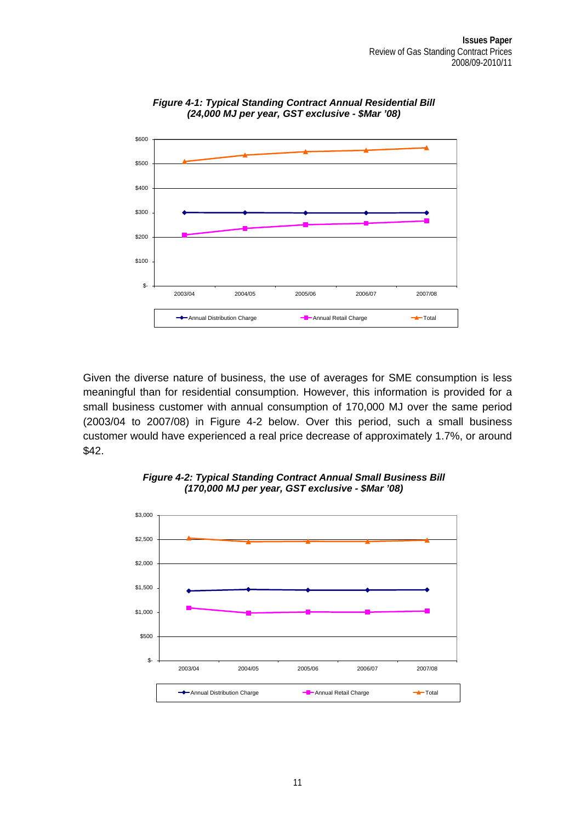<span id="page-14-0"></span>

*Figure 4-1: Typical Standing Contract Annual Residential Bill (24,000 MJ per year, GST exclusive - \$Mar '08)* 

Given the diverse nature of business, the use of averages for SME consumption is less meaningful than for residential consumption. However, this information is provided for a small business customer with annual consumption of 170,000 MJ over the same period (2003/04 to 2007/08) in [Figure 4-2](#page-14-1) below. Over this period, such a small business customer would have experienced a real price decrease of approximately 1.7%, or around \$42.

<span id="page-14-1"></span>

*Figure 4-2: Typical Standing Contract Annual Small Business Bill (170,000 MJ per year, GST exclusive - \$Mar '08)*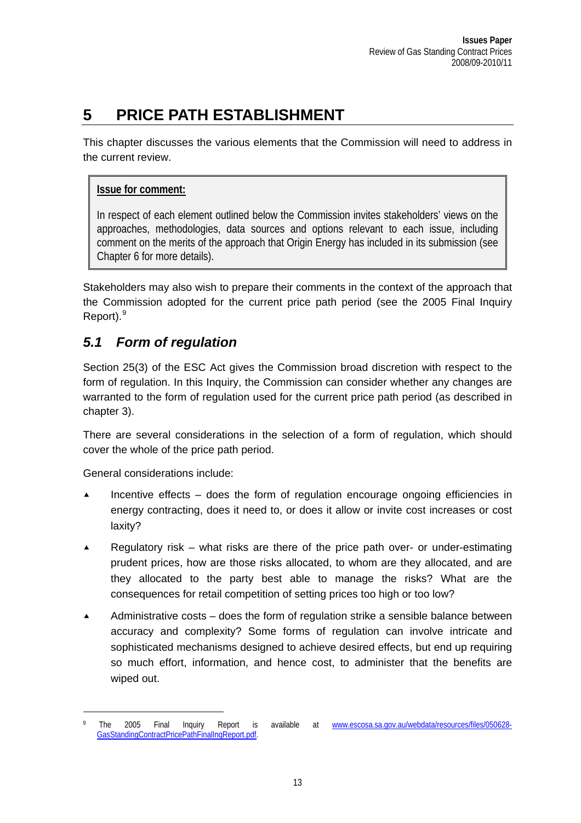# <span id="page-16-0"></span>**5 PRICE PATH ESTABLISHMENT**

This chapter discusses the various elements that the Commission will need to address in the current review.

#### **Issue for comment:**

In respect of each element outlined below the Commission invites stakeholders' views on the approaches, methodologies, data sources and options relevant to each issue, including comment on the merits of the approach that Origin Energy has included in its submission (see Chapter 6 for more details).

Stakeholders may also wish to prepare their comments in the context of the approach that the Commission adopted for the current price path period (see the 2005 Final Inquiry Report).<sup>[9](#page-16-1)</sup>

### *5.1 Form of regulation*

Section 25(3) of the ESC Act gives the Commission broad discretion with respect to the form of regulation. In this Inquiry, the Commission can consider whether any changes are warranted to the form of regulation used for the current price path period (as described in chapter 3).

There are several considerations in the selection of a form of regulation, which should cover the whole of the price path period.

General considerations include:

- Incentive effects  $-$  does the form of regulation encourage ongoing efficiencies in energy contracting, does it need to, or does it allow or invite cost increases or cost laxity?
- **Example 2** Regulatory risk what risks are there of the price path over- or under-estimating prudent prices, how are those risks allocated, to whom are they allocated, and are they allocated to the party best able to manage the risks? What are the consequences for retail competition of setting prices too high or too low?
- Administrative costs does the form of regulation strike a sensible balance between accuracy and complexity? Some forms of regulation can involve intricate and sophisticated mechanisms designed to achieve desired effects, but end up requiring so much effort, information, and hence cost, to administer that the benefits are wiped out.

<span id="page-16-1"></span><sup>9</sup> The 2005 Final Inquiry Report is available at [www.escosa.sa.gov.au/webdata/resources/files/050628-](http://www.escosa.sa.gov.au/webdata/resources/files/050628-GasStandingContractPricePathFinalInqReport.pdf) [GasStandingContractPricePathFinalInqReport.pdf](http://www.escosa.sa.gov.au/webdata/resources/files/050628-GasStandingContractPricePathFinalInqReport.pdf).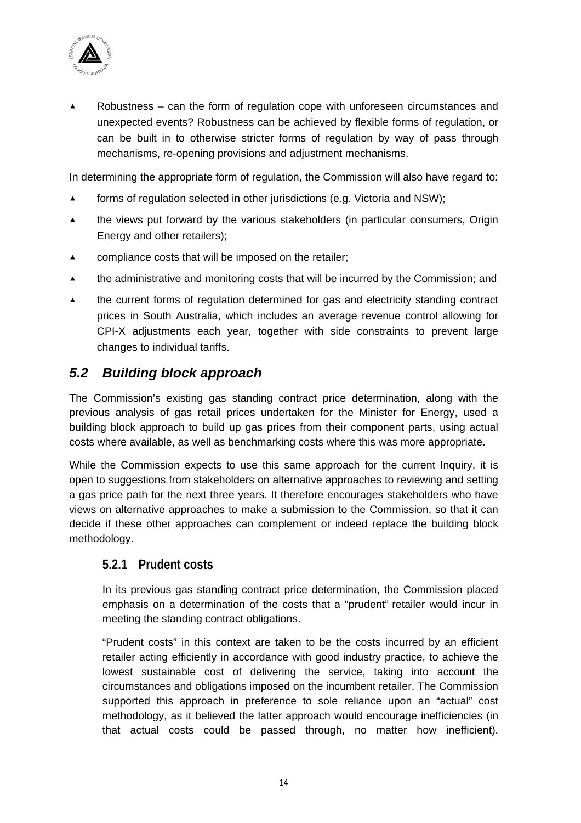<span id="page-17-0"></span>

Robustness – can the form of regulation cope with unforeseen circumstances and unexpected events? Robustness can be achieved by flexible forms of regulation, or can be built in to otherwise stricter forms of regulation by way of pass through mechanisms, re-opening provisions and adjustment mechanisms.

In determining the appropriate form of regulation, the Commission will also have regard to:

- forms of regulation selected in other jurisdictions (e.g. Victoria and NSW);
- $\triangle$  the views put forward by the various stakeholders (in particular consumers, Origin Energy and other retailers);
- $\triangle$  compliance costs that will be imposed on the retailer;
- $\blacktriangle$  the administrative and monitoring costs that will be incurred by the Commission; and
- $\triangle$  the current forms of regulation determined for gas and electricity standing contract prices in South Australia, which includes an average revenue control allowing for CPI-X adjustments each year, together with side constraints to prevent large changes to individual tariffs.

### *5.2 Building block approach*

The Commission's existing gas standing contract price determination, along with the previous analysis of gas retail prices undertaken for the Minister for Energy, used a building block approach to build up gas prices from their component parts, using actual costs where available, as well as benchmarking costs where this was more appropriate.

While the Commission expects to use this same approach for the current Inquiry, it is open to suggestions from stakeholders on alternative approaches to reviewing and setting a gas price path for the next three years. It therefore encourages stakeholders who have views on alternative approaches to make a submission to the Commission, so that it can decide if these other approaches can complement or indeed replace the building block methodology.

#### **5.2.1 Prudent costs**

In its previous gas standing contract price determination, the Commission placed emphasis on a determination of the costs that a "prudent" retailer would incur in meeting the standing contract obligations.

"Prudent costs" in this context are taken to be the costs incurred by an efficient retailer acting efficiently in accordance with good industry practice, to achieve the lowest sustainable cost of delivering the service, taking into account the circumstances and obligations imposed on the incumbent retailer. The Commission supported this approach in preference to sole reliance upon an "actual" cost methodology, as it believed the latter approach would encourage inefficiencies (in that actual costs could be passed through, no matter how inefficient).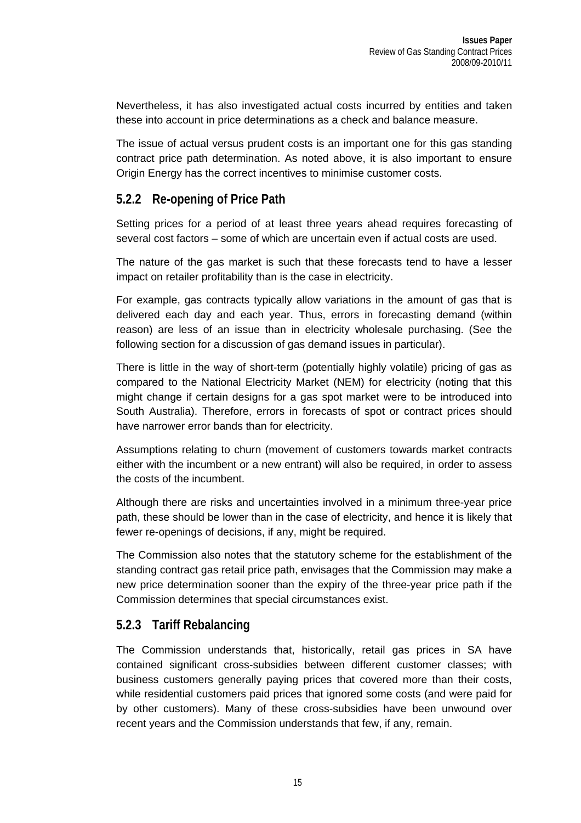<span id="page-18-0"></span>Nevertheless, it has also investigated actual costs incurred by entities and taken these into account in price determinations as a check and balance measure.

The issue of actual versus prudent costs is an important one for this gas standing contract price path determination. As noted above, it is also important to ensure Origin Energy has the correct incentives to minimise customer costs.

#### **5.2.2 Re-opening of Price Path**

Setting prices for a period of at least three years ahead requires forecasting of several cost factors – some of which are uncertain even if actual costs are used.

The nature of the gas market is such that these forecasts tend to have a lesser impact on retailer profitability than is the case in electricity.

For example, gas contracts typically allow variations in the amount of gas that is delivered each day and each year. Thus, errors in forecasting demand (within reason) are less of an issue than in electricity wholesale purchasing. (See the following section for a discussion of gas demand issues in particular).

There is little in the way of short-term (potentially highly volatile) pricing of gas as compared to the National Electricity Market (NEM) for electricity (noting that this might change if certain designs for a gas spot market were to be introduced into South Australia). Therefore, errors in forecasts of spot or contract prices should have narrower error bands than for electricity.

Assumptions relating to churn (movement of customers towards market contracts either with the incumbent or a new entrant) will also be required, in order to assess the costs of the incumbent.

Although there are risks and uncertainties involved in a minimum three-year price path, these should be lower than in the case of electricity, and hence it is likely that fewer re-openings of decisions, if any, might be required.

The Commission also notes that the statutory scheme for the establishment of the standing contract gas retail price path, envisages that the Commission may make a new price determination sooner than the expiry of the three-year price path if the Commission determines that special circumstances exist.

### **5.2.3 Tariff Rebalancing**

The Commission understands that, historically, retail gas prices in SA have contained significant cross-subsidies between different customer classes; with business customers generally paying prices that covered more than their costs, while residential customers paid prices that ignored some costs (and were paid for by other customers). Many of these cross-subsidies have been unwound over recent years and the Commission understands that few, if any, remain.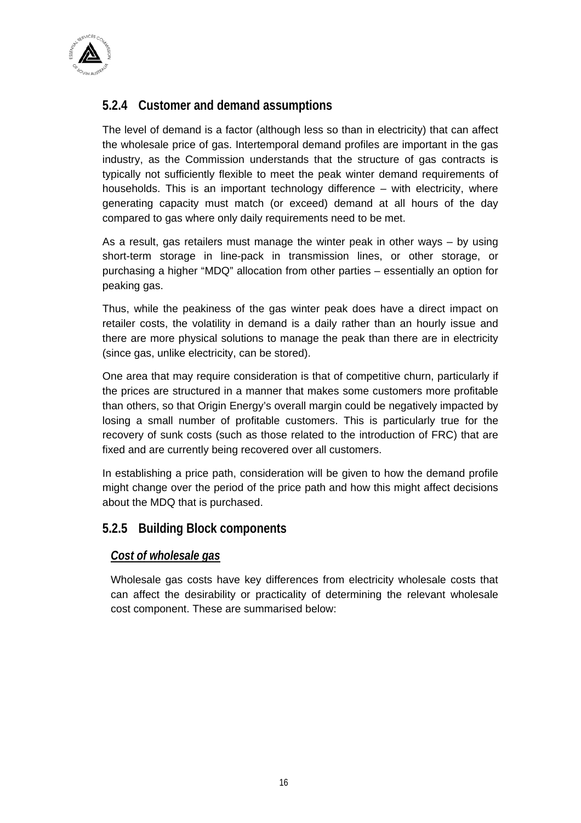<span id="page-19-0"></span>

### **5.2.4 Customer and demand assumptions**

The level of demand is a factor (although less so than in electricity) that can affect the wholesale price of gas. Intertemporal demand profiles are important in the gas industry, as the Commission understands that the structure of gas contracts is typically not sufficiently flexible to meet the peak winter demand requirements of households. This is an important technology difference – with electricity, where generating capacity must match (or exceed) demand at all hours of the day compared to gas where only daily requirements need to be met.

As a result, gas retailers must manage the winter peak in other ways – by using short-term storage in line-pack in transmission lines, or other storage, or purchasing a higher "MDQ" allocation from other parties – essentially an option for peaking gas.

Thus, while the peakiness of the gas winter peak does have a direct impact on retailer costs, the volatility in demand is a daily rather than an hourly issue and there are more physical solutions to manage the peak than there are in electricity (since gas, unlike electricity, can be stored).

One area that may require consideration is that of competitive churn, particularly if the prices are structured in a manner that makes some customers more profitable than others, so that Origin Energy's overall margin could be negatively impacted by losing a small number of profitable customers. This is particularly true for the recovery of sunk costs (such as those related to the introduction of FRC) that are fixed and are currently being recovered over all customers.

In establishing a price path, consideration will be given to how the demand profile might change over the period of the price path and how this might affect decisions about the MDQ that is purchased.

### **5.2.5 Building Block components**

#### *Cost of wholesale gas*

Wholesale gas costs have key differences from electricity wholesale costs that can affect the desirability or practicality of determining the relevant wholesale cost component. These are summarised below: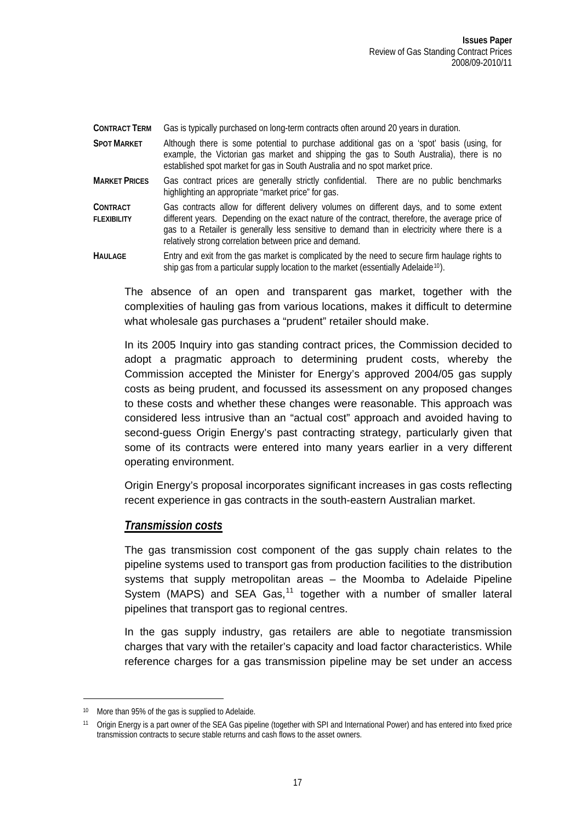**CONTRACT TERM** Gas is typically purchased on long-term contracts often around 20 years in duration.

- **SPOT MARKET** Although there is some potential to purchase additional gas on a 'spot' basis (using, for example, the Victorian gas market and shipping the gas to South Australia), there is no established spot market for gas in South Australia and no spot market price.
- **MARKET PRICES** Gas contract prices are generally strictly confidential. There are no public benchmarks highlighting an appropriate "market price" for gas.
- **CONTRACT FLEXIBILITY** Gas contracts allow for different delivery volumes on different days, and to some extent different years. Depending on the exact nature of the contract, therefore, the average price of gas to a Retailer is generally less sensitive to demand than in electricity where there is a relatively strong correlation between price and demand.
- HAULAGE Entry and exit from the gas market is complicated by the need to secure firm haulage rights to ship gas from a particular supply location to the market (essentially Adelaide<sup>[10](#page-20-0)</sup>).

The absence of an open and transparent gas market, together with the complexities of hauling gas from various locations, makes it difficult to determine what wholesale gas purchases a "prudent" retailer should make.

In its 2005 Inquiry into gas standing contract prices, the Commission decided to adopt a pragmatic approach to determining prudent costs, whereby the Commission accepted the Minister for Energy's approved 2004/05 gas supply costs as being prudent, and focussed its assessment on any proposed changes to these costs and whether these changes were reasonable. This approach was considered less intrusive than an "actual cost" approach and avoided having to second-guess Origin Energy's past contracting strategy, particularly given that some of its contracts were entered into many years earlier in a very different operating environment.

Origin Energy's proposal incorporates significant increases in gas costs reflecting recent experience in gas contracts in the south-eastern Australian market.

#### *Transmission costs*

The gas transmission cost component of the gas supply chain relates to the pipeline systems used to transport gas from production facilities to the distribution systems that supply metropolitan areas – the Moomba to Adelaide Pipeline System (MAPS) and SEA Gas, $<sup>11</sup>$  $<sup>11</sup>$  $<sup>11</sup>$  together with a number of smaller lateral</sup> pipelines that transport gas to regional centres.

In the gas supply industry, gas retailers are able to negotiate transmission charges that vary with the retailer's capacity and load factor characteristics. While reference charges for a gas transmission pipeline may be set under an access

 $\overline{a}$ 

<span id="page-20-0"></span><sup>10</sup> More than 95% of the gas is supplied to Adelaide.

<span id="page-20-1"></span><sup>11</sup> Origin Energy is a part owner of the SEA Gas pipeline (together with SPI and International Power) and has entered into fixed price transmission contracts to secure stable returns and cash flows to the asset owners.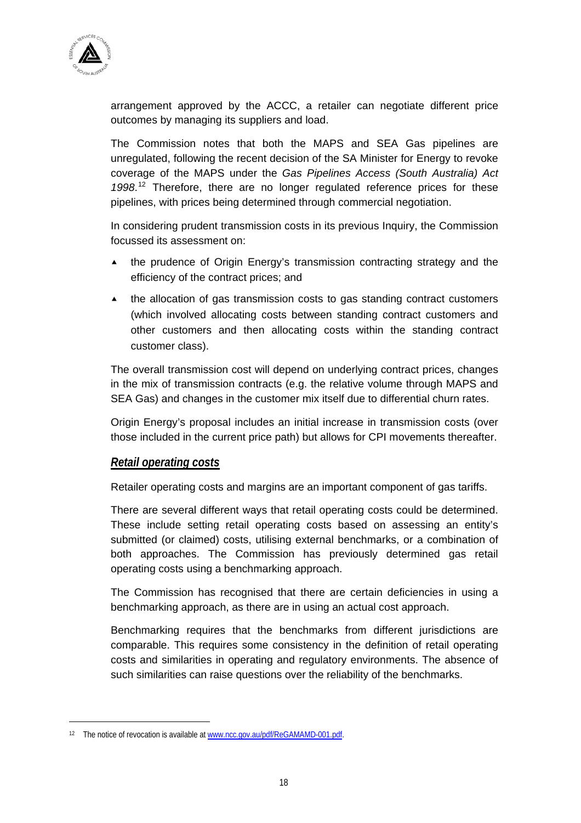

arrangement approved by the ACCC, a retailer can negotiate different price outcomes by managing its suppliers and load.

The Commission notes that both the MAPS and SEA Gas pipelines are unregulated, following the recent decision of the SA Minister for Energy to revoke coverage of the MAPS under the *Gas Pipelines Access (South Australia) Act 1998*. [12](#page-21-0) Therefore, there are no longer regulated reference prices for these pipelines, with prices being determined through commercial negotiation.

In considering prudent transmission costs in its previous Inquiry, the Commission focussed its assessment on:

- $\triangle$  the prudence of Origin Energy's transmission contracting strategy and the efficiency of the contract prices; and
- $\blacktriangle$  the allocation of gas transmission costs to gas standing contract customers (which involved allocating costs between standing contract customers and other customers and then allocating costs within the standing contract customer class).

The overall transmission cost will depend on underlying contract prices, changes in the mix of transmission contracts (e.g. the relative volume through MAPS and SEA Gas) and changes in the customer mix itself due to differential churn rates.

Origin Energy's proposal includes an initial increase in transmission costs (over those included in the current price path) but allows for CPI movements thereafter.

#### *Retail operating costs*

Retailer operating costs and margins are an important component of gas tariffs.

There are several different ways that retail operating costs could be determined. These include setting retail operating costs based on assessing an entity's submitted (or claimed) costs, utilising external benchmarks, or a combination of both approaches. The Commission has previously determined gas retail operating costs using a benchmarking approach.

The Commission has recognised that there are certain deficiencies in using a benchmarking approach, as there are in using an actual cost approach.

Benchmarking requires that the benchmarks from different jurisdictions are comparable. This requires some consistency in the definition of retail operating costs and similarities in operating and regulatory environments. The absence of such similarities can raise questions over the reliability of the benchmarks.

 $\overline{a}$ 

<span id="page-21-0"></span><sup>&</sup>lt;sup>12</sup> The notice of revocation is available at [www.ncc.gov.au/pdf/ReGAMAMD-001.pdf](http://www.ncc.gov.au/pdf/ReGAMAMD-001.pdf).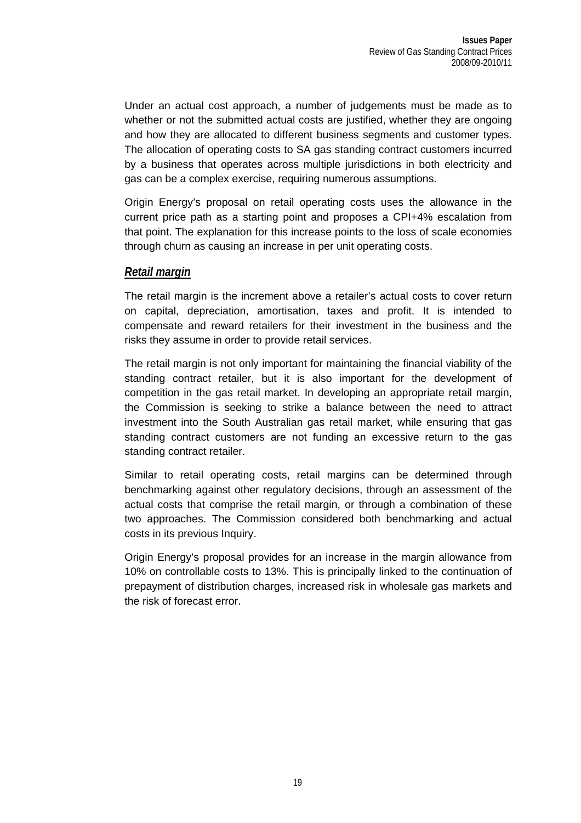Under an actual cost approach, a number of judgements must be made as to whether or not the submitted actual costs are justified, whether they are ongoing and how they are allocated to different business segments and customer types. The allocation of operating costs to SA gas standing contract customers incurred by a business that operates across multiple jurisdictions in both electricity and gas can be a complex exercise, requiring numerous assumptions.

Origin Energy's proposal on retail operating costs uses the allowance in the current price path as a starting point and proposes a CPI+4% escalation from that point. The explanation for this increase points to the loss of scale economies through churn as causing an increase in per unit operating costs.

#### *Retail margin*

The retail margin is the increment above a retailer's actual costs to cover return on capital, depreciation, amortisation, taxes and profit. It is intended to compensate and reward retailers for their investment in the business and the risks they assume in order to provide retail services.

The retail margin is not only important for maintaining the financial viability of the standing contract retailer, but it is also important for the development of competition in the gas retail market. In developing an appropriate retail margin, the Commission is seeking to strike a balance between the need to attract investment into the South Australian gas retail market, while ensuring that gas standing contract customers are not funding an excessive return to the gas standing contract retailer.

Similar to retail operating costs, retail margins can be determined through benchmarking against other regulatory decisions, through an assessment of the actual costs that comprise the retail margin, or through a combination of these two approaches. The Commission considered both benchmarking and actual costs in its previous Inquiry.

Origin Energy's proposal provides for an increase in the margin allowance from 10% on controllable costs to 13%. This is principally linked to the continuation of prepayment of distribution charges, increased risk in wholesale gas markets and the risk of forecast error.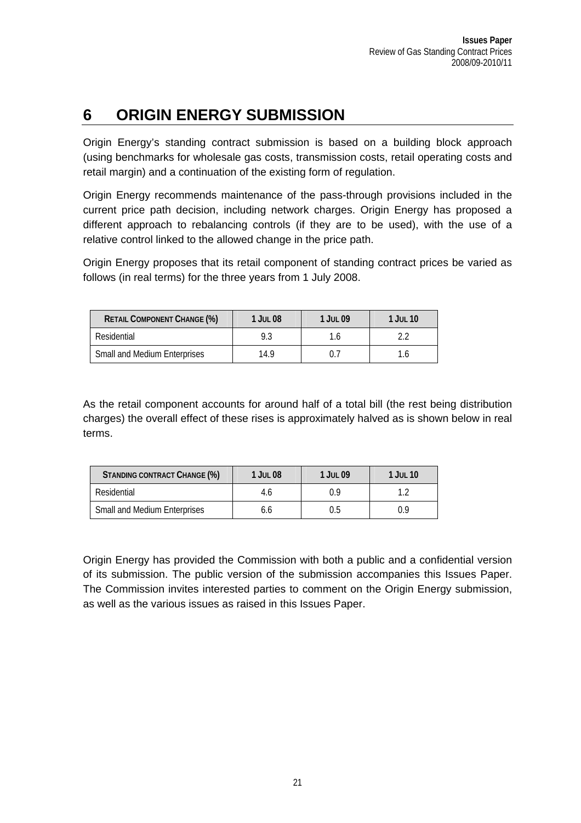# <span id="page-24-0"></span>**6 ORIGIN ENERGY SUBMISSION**

Origin Energy's standing contract submission is based on a building block approach (using benchmarks for wholesale gas costs, transmission costs, retail operating costs and retail margin) and a continuation of the existing form of regulation.

Origin Energy recommends maintenance of the pass-through provisions included in the current price path decision, including network charges. Origin Energy has proposed a different approach to rebalancing controls (if they are to be used), with the use of a relative control linked to the allowed change in the price path.

Origin Energy proposes that its retail component of standing contract prices be varied as follows (in real terms) for the three years from 1 July 2008.

| <b>RETAIL COMPONENT CHANGE (%)</b>  | <b>1 JUL 08</b> | 1 JUL 09 | $1$ Jul $10$ |
|-------------------------------------|-----------------|----------|--------------|
| Residential                         | 9.3             | 1.6      |              |
| <b>Small and Medium Enterprises</b> | 14.9            |          |              |

As the retail component accounts for around half of a total bill (the rest being distribution charges) the overall effect of these rises is approximately halved as is shown below in real terms.

| STANDING CONTRACT CHANGE (%)        | 1 JUL 08 | $1$ Jul 09 | 1 JUL 10 |
|-------------------------------------|----------|------------|----------|
| Residential                         | 4.6      | Ωd         |          |
| <b>Small and Medium Enterprises</b> | b.b      | 0.5        | 0.9      |

Origin Energy has provided the Commission with both a public and a confidential version of its submission. The public version of the submission accompanies this Issues Paper. The Commission invites interested parties to comment on the Origin Energy submission, as well as the various issues as raised in this Issues Paper.